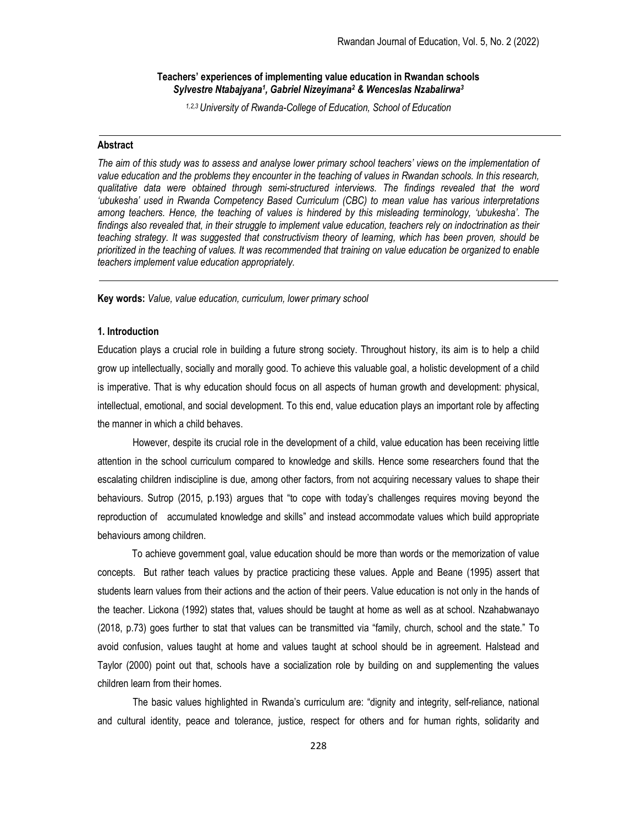# Teachers' experiences of implementing value education in Rwandan schools Sylvestre Ntabajyana<sup>1</sup>, Gabriel Nizeyimana<sup>2</sup> & Wenceslas Nzabalirwa<sup>3</sup>

1,2,3 University of Rwanda-College of Education, School of Education

### Abstract

The aim of this study was to assess and analyse lower primary school teachers' views on the implementation of value education and the problems they encounter in the teaching of values in Rwandan schools. In this research, qualitative data were obtained through semi-structured interviews. The findings revealed that the word 'ubukesha' used in Rwanda Competency Based Curriculum (CBC) to mean value has various interpretations among teachers. Hence, the teaching of values is hindered by this misleading terminology, 'ubukesha'. The findings also revealed that, in their struggle to implement value education, teachers rely on indoctrination as their teaching strategy. It was suggested that constructivism theory of learning, which has been proven, should be prioritized in the teaching of values. It was recommended that training on value education be organized to enable teachers implement value education appropriately.

Key words: Value, value education, curriculum, lower primary school

# 1. Introduction

Education plays a crucial role in building a future strong society. Throughout history, its aim is to help a child grow up intellectually, socially and morally good. To achieve this valuable goal, a holistic development of a child is imperative. That is why education should focus on all aspects of human growth and development: physical, intellectual, emotional, and social development. To this end, value education plays an important role by affecting the manner in which a child behaves.

However, despite its crucial role in the development of a child, value education has been receiving little attention in the school curriculum compared to knowledge and skills. Hence some researchers found that the escalating children indiscipline is due, among other factors, from not acquiring necessary values to shape their behaviours. Sutrop (2015, p.193) argues that "to cope with today's challenges requires moving beyond the reproduction of accumulated knowledge and skills" and instead accommodate values which build appropriate behaviours among children.

 To achieve government goal, value education should be more than words or the memorization of value concepts. But rather teach values by practice practicing these values. Apple and Beane (1995) assert that students learn values from their actions and the action of their peers. Value education is not only in the hands of the teacher. Lickona (1992) states that, values should be taught at home as well as at school. Nzahabwanayo (2018, p.73) goes further to stat that values can be transmitted via "family, church, school and the state." To avoid confusion, values taught at home and values taught at school should be in agreement. Halstead and Taylor (2000) point out that, schools have a socialization role by building on and supplementing the values children learn from their homes.

The basic values highlighted in Rwanda's curriculum are: "dignity and integrity, self-reliance, national and cultural identity, peace and tolerance, justice, respect for others and for human rights, solidarity and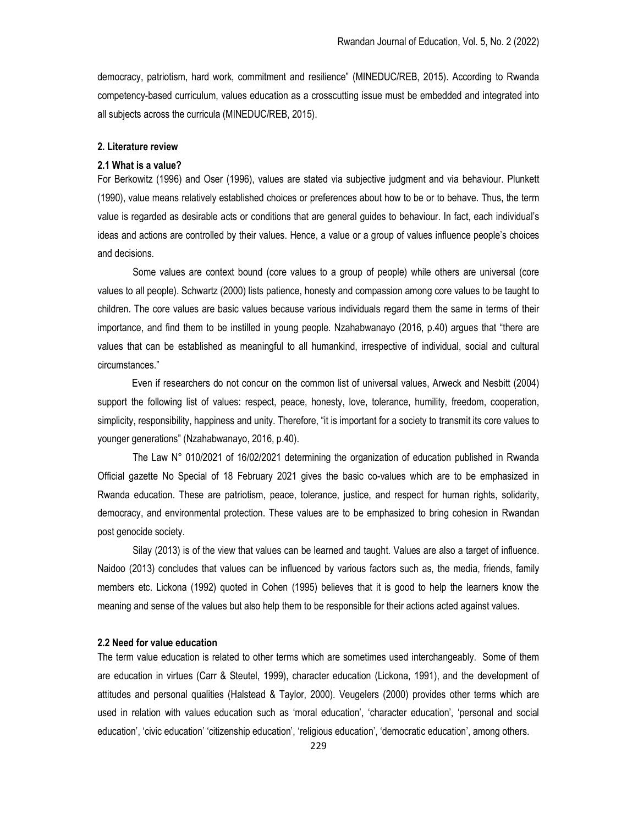democracy, patriotism, hard work, commitment and resilience" (MINEDUC/REB, 2015). According to Rwanda competency-based curriculum, values education as a crosscutting issue must be embedded and integrated into all subjects across the curricula (MINEDUC/REB, 2015).

# 2. Literature review

### 2.1 What is a value?

For Berkowitz (1996) and Oser (1996), values are stated via subjective judgment and via behaviour. Plunkett (1990), value means relatively established choices or preferences about how to be or to behave. Thus, the term value is regarded as desirable acts or conditions that are general guides to behaviour. In fact, each individual's ideas and actions are controlled by their values. Hence, a value or a group of values influence people's choices and decisions.

Some values are context bound (core values to a group of people) while others are universal (core values to all people). Schwartz (2000) lists patience, honesty and compassion among core values to be taught to children. The core values are basic values because various individuals regard them the same in terms of their importance, and find them to be instilled in young people. Nzahabwanayo (2016, p.40) argues that "there are values that can be established as meaningful to all humankind, irrespective of individual, social and cultural circumstances."

 Even if researchers do not concur on the common list of universal values, Arweck and Nesbitt (2004) support the following list of values: respect, peace, honesty, love, tolerance, humility, freedom, cooperation, simplicity, responsibility, happiness and unity. Therefore, "it is important for a society to transmit its core values to younger generations" (Nzahabwanayo, 2016, p.40).

The Law N° 010/2021 of 16/02/2021 determining the organization of education published in Rwanda Official gazette No Special of 18 February 2021 gives the basic co-values which are to be emphasized in Rwanda education. These are patriotism, peace, tolerance, justice, and respect for human rights, solidarity, democracy, and environmental protection. These values are to be emphasized to bring cohesion in Rwandan post genocide society.

Silay (2013) is of the view that values can be learned and taught. Values are also a target of influence. Naidoo (2013) concludes that values can be influenced by various factors such as, the media, friends, family members etc. Lickona (1992) quoted in Cohen (1995) believes that it is good to help the learners know the meaning and sense of the values but also help them to be responsible for their actions acted against values.

## 2.2 Need for value education

The term value education is related to other terms which are sometimes used interchangeably. Some of them are education in virtues (Carr & Steutel, 1999), character education (Lickona, 1991), and the development of attitudes and personal qualities (Halstead & Taylor, 2000). Veugelers (2000) provides other terms which are used in relation with values education such as 'moral education', 'character education', 'personal and social education', 'civic education' 'citizenship education', 'religious education', 'democratic education', among others.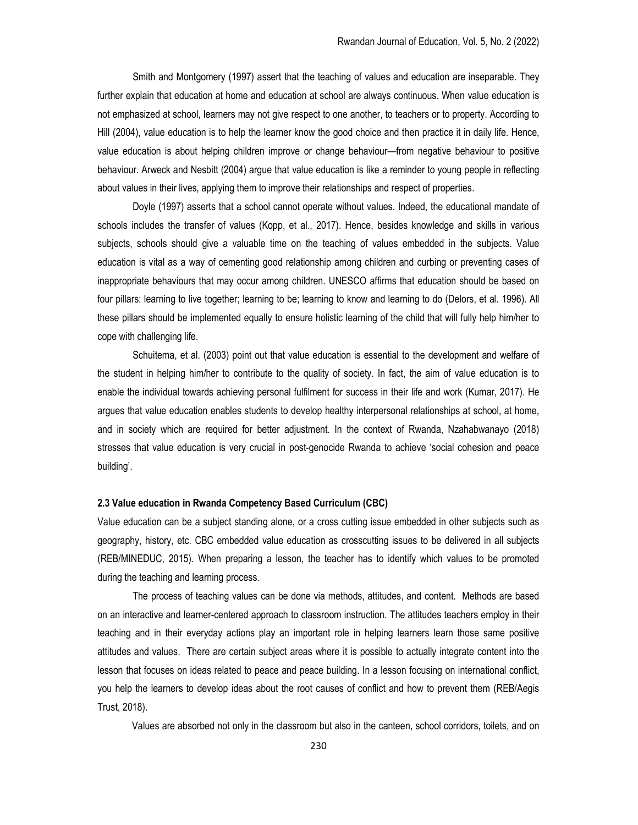Smith and Montgomery (1997) assert that the teaching of values and education are inseparable. They further explain that education at home and education at school are always continuous. When value education is not emphasized at school, learners may not give respect to one another, to teachers or to property. According to Hill (2004), value education is to help the learner know the good choice and then practice it in daily life. Hence, value education is about helping children improve or change behaviour—from negative behaviour to positive behaviour. Arweck and Nesbitt (2004) argue that value education is like a reminder to young people in reflecting about values in their lives, applying them to improve their relationships and respect of properties.

Doyle (1997) asserts that a school cannot operate without values. Indeed, the educational mandate of schools includes the transfer of values (Kopp, et al., 2017). Hence, besides knowledge and skills in various subjects, schools should give a valuable time on the teaching of values embedded in the subjects. Value education is vital as a way of cementing good relationship among children and curbing or preventing cases of inappropriate behaviours that may occur among children. UNESCO affirms that education should be based on four pillars: learning to live together; learning to be; learning to know and learning to do (Delors, et al. 1996). All these pillars should be implemented equally to ensure holistic learning of the child that will fully help him/her to cope with challenging life.

Schuitema, et al. (2003) point out that value education is essential to the development and welfare of the student in helping him/her to contribute to the quality of society. In fact, the aim of value education is to enable the individual towards achieving personal fulfilment for success in their life and work (Kumar, 2017). He argues that value education enables students to develop healthy interpersonal relationships at school, at home, and in society which are required for better adjustment. In the context of Rwanda, Nzahabwanayo (2018) stresses that value education is very crucial in post-genocide Rwanda to achieve 'social cohesion and peace building'.

# 2.3 Value education in Rwanda Competency Based Curriculum (CBC)

Value education can be a subject standing alone, or a cross cutting issue embedded in other subjects such as geography, history, etc. CBC embedded value education as crosscutting issues to be delivered in all subjects (REB/MINEDUC, 2015). When preparing a lesson, the teacher has to identify which values to be promoted during the teaching and learning process.

The process of teaching values can be done via methods, attitudes, and content. Methods are based on an interactive and learner-centered approach to classroom instruction. The attitudes teachers employ in their teaching and in their everyday actions play an important role in helping learners learn those same positive attitudes and values. There are certain subject areas where it is possible to actually integrate content into the lesson that focuses on ideas related to peace and peace building. In a lesson focusing on international conflict, you help the learners to develop ideas about the root causes of conflict and how to prevent them (REB/Aegis Trust, 2018).

Values are absorbed not only in the classroom but also in the canteen, school corridors, toilets, and on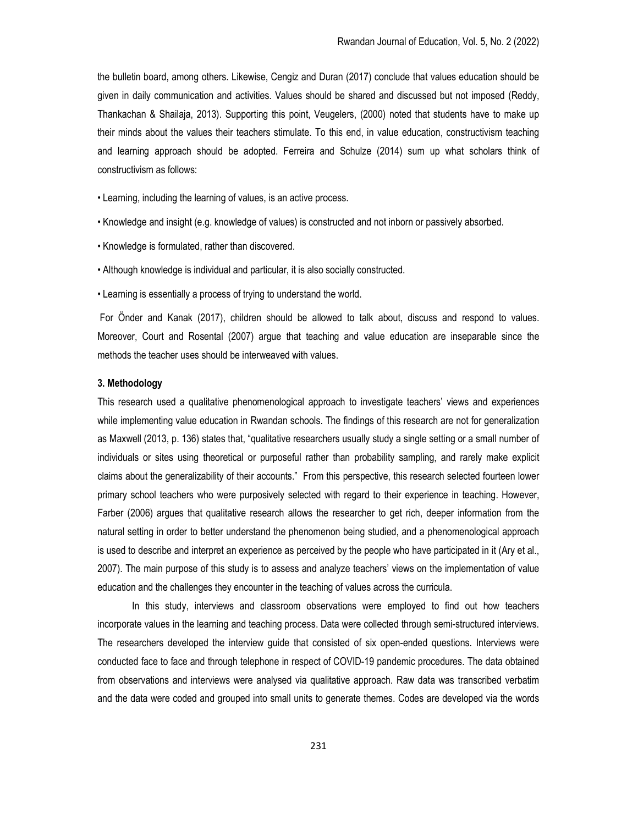the bulletin board, among others. Likewise, Cengiz and Duran (2017) conclude that values education should be given in daily communication and activities. Values should be shared and discussed but not imposed (Reddy, Thankachan & Shailaja, 2013). Supporting this point, Veugelers, (2000) noted that students have to make up their minds about the values their teachers stimulate. To this end, in value education, constructivism teaching and learning approach should be adopted. Ferreira and Schulze (2014) sum up what scholars think of constructivism as follows:

- Learning, including the learning of values, is an active process.
- Knowledge and insight (e.g. knowledge of values) is constructed and not inborn or passively absorbed.
- Knowledge is formulated, rather than discovered.
- Although knowledge is individual and particular, it is also socially constructed.
- Learning is essentially a process of trying to understand the world.

 For Önder and Kanak (2017), children should be allowed to talk about, discuss and respond to values. Moreover, Court and Rosental (2007) argue that teaching and value education are inseparable since the methods the teacher uses should be interweaved with values.

# 3. Methodology

This research used a qualitative phenomenological approach to investigate teachers' views and experiences while implementing value education in Rwandan schools. The findings of this research are not for generalization as Maxwell (2013, p. 136) states that, "qualitative researchers usually study a single setting or a small number of individuals or sites using theoretical or purposeful rather than probability sampling, and rarely make explicit claims about the generalizability of their accounts." From this perspective, this research selected fourteen lower primary school teachers who were purposively selected with regard to their experience in teaching. However, Farber (2006) argues that qualitative research allows the researcher to get rich, deeper information from the natural setting in order to better understand the phenomenon being studied, and a phenomenological approach is used to describe and interpret an experience as perceived by the people who have participated in it (Ary et al., 2007). The main purpose of this study is to assess and analyze teachers' views on the implementation of value education and the challenges they encounter in the teaching of values across the curricula.

In this study, interviews and classroom observations were employed to find out how teachers incorporate values in the learning and teaching process. Data were collected through semi-structured interviews. The researchers developed the interview guide that consisted of six open-ended questions. Interviews were conducted face to face and through telephone in respect of COVID-19 pandemic procedures. The data obtained from observations and interviews were analysed via qualitative approach. Raw data was transcribed verbatim and the data were coded and grouped into small units to generate themes. Codes are developed via the words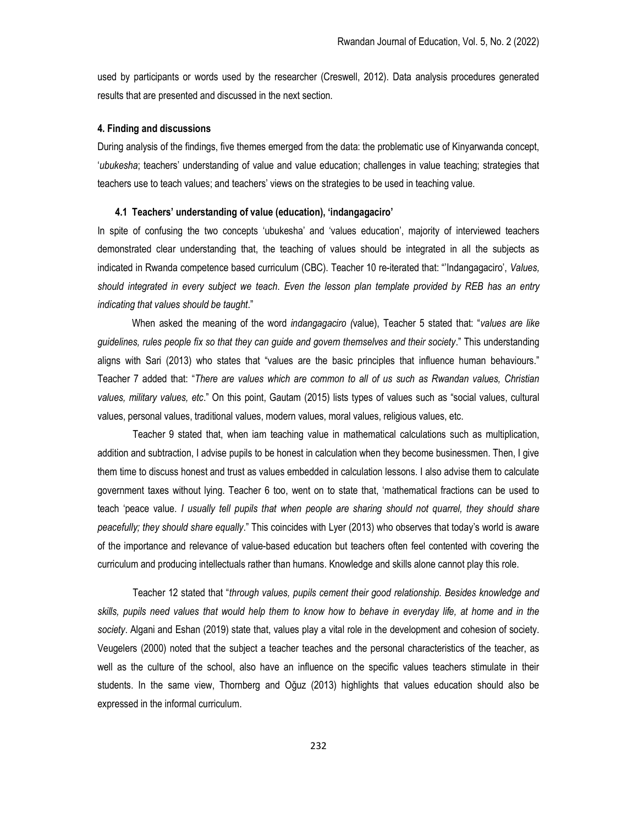used by participants or words used by the researcher (Creswell, 2012). Data analysis procedures generated results that are presented and discussed in the next section.

#### 4. Finding and discussions

During analysis of the findings, five themes emerged from the data: the problematic use of Kinyarwanda concept, 'ubukesha; teachers' understanding of value and value education; challenges in value teaching; strategies that teachers use to teach values; and teachers' views on the strategies to be used in teaching value.

### 4.1 Teachers' understanding of value (education), 'indangagaciro'

In spite of confusing the two concepts 'ubukesha' and 'values education', majority of interviewed teachers demonstrated clear understanding that, the teaching of values should be integrated in all the subjects as indicated in Rwanda competence based curriculum (CBC). Teacher 10 re-iterated that: "'Indangagaciro', Values, should integrated in every subject we teach. Even the lesson plan template provided by REB has an entry indicating that values should be taught."

When asked the meaning of the word *indangagaciro (value)*, Teacher 5 stated that: "values are like guidelines, rules people fix so that they can guide and govern themselves and their society." This understanding aligns with Sari (2013) who states that "values are the basic principles that influence human behaviours." Teacher 7 added that: "There are values which are common to all of us such as Rwandan values, Christian values, military values, etc." On this point, Gautam (2015) lists types of values such as "social values, cultural values, personal values, traditional values, modern values, moral values, religious values, etc.

Teacher 9 stated that, when iam teaching value in mathematical calculations such as multiplication, addition and subtraction, I advise pupils to be honest in calculation when they become businessmen. Then, I give them time to discuss honest and trust as values embedded in calculation lessons. I also advise them to calculate government taxes without lying. Teacher 6 too, went on to state that, 'mathematical fractions can be used to teach 'peace value. I usually tell pupils that when people are sharing should not quarrel, they should share peacefully; they should share equally." This coincides with Lyer (2013) who observes that today's world is aware of the importance and relevance of value-based education but teachers often feel contented with covering the curriculum and producing intellectuals rather than humans. Knowledge and skills alone cannot play this role.

Teacher 12 stated that "through values, pupils cement their good relationship. Besides knowledge and skills, pupils need values that would help them to know how to behave in everyday life, at home and in the society. Algani and Eshan (2019) state that, values play a vital role in the development and cohesion of society. Veugelers (2000) noted that the subject a teacher teaches and the personal characteristics of the teacher, as well as the culture of the school, also have an influence on the specific values teachers stimulate in their students. In the same view, Thornberg and Oğuz (2013) highlights that values education should also be expressed in the informal curriculum.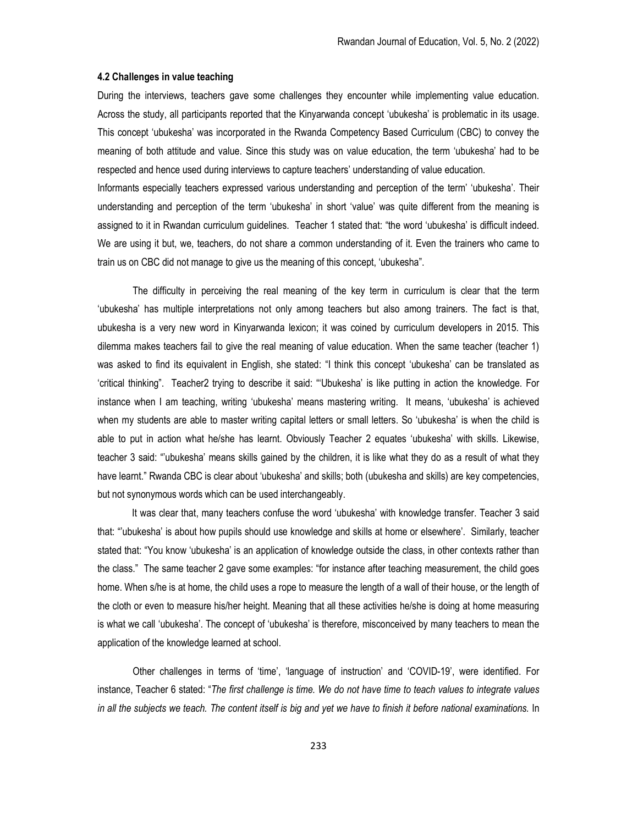### 4.2 Challenges in value teaching

During the interviews, teachers gave some challenges they encounter while implementing value education. Across the study, all participants reported that the Kinyarwanda concept 'ubukesha' is problematic in its usage. This concept 'ubukesha' was incorporated in the Rwanda Competency Based Curriculum (CBC) to convey the meaning of both attitude and value. Since this study was on value education, the term 'ubukesha' had to be respected and hence used during interviews to capture teachers' understanding of value education.

Informants especially teachers expressed various understanding and perception of the term' 'ubukesha'. Their understanding and perception of the term 'ubukesha' in short 'value' was quite different from the meaning is assigned to it in Rwandan curriculum guidelines. Teacher 1 stated that: "the word 'ubukesha' is difficult indeed. We are using it but, we, teachers, do not share a common understanding of it. Even the trainers who came to train us on CBC did not manage to give us the meaning of this concept, 'ubukesha".

The difficulty in perceiving the real meaning of the key term in curriculum is clear that the term 'ubukesha' has multiple interpretations not only among teachers but also among trainers. The fact is that, ubukesha is a very new word in Kinyarwanda lexicon; it was coined by curriculum developers in 2015. This dilemma makes teachers fail to give the real meaning of value education. When the same teacher (teacher 1) was asked to find its equivalent in English, she stated: "I think this concept 'ubukesha' can be translated as 'critical thinking". Teacher2 trying to describe it said: "'Ubukesha' is like putting in action the knowledge. For instance when I am teaching, writing 'ubukesha' means mastering writing. It means, 'ubukesha' is achieved when my students are able to master writing capital letters or small letters. So 'ubukesha' is when the child is able to put in action what he/she has learnt. Obviously Teacher 2 equates 'ubukesha' with skills. Likewise, teacher 3 said: "'ubukesha' means skills gained by the children, it is like what they do as a result of what they have learnt." Rwanda CBC is clear about 'ubukesha' and skills; both (ubukesha and skills) are key competencies, but not synonymous words which can be used interchangeably.

It was clear that, many teachers confuse the word 'ubukesha' with knowledge transfer. Teacher 3 said that: "'ubukesha' is about how pupils should use knowledge and skills at home or elsewhere'. Similarly, teacher stated that: "You know 'ubukesha' is an application of knowledge outside the class, in other contexts rather than the class." The same teacher 2 gave some examples: "for instance after teaching measurement, the child goes home. When s/he is at home, the child uses a rope to measure the length of a wall of their house, or the length of the cloth or even to measure his/her height. Meaning that all these activities he/she is doing at home measuring is what we call 'ubukesha'. The concept of 'ubukesha' is therefore, misconceived by many teachers to mean the application of the knowledge learned at school.

Other challenges in terms of 'time', 'language of instruction' and 'COVID-19', were identified. For instance, Teacher 6 stated: "The first challenge is time. We do not have time to teach values to integrate values in all the subjects we teach. The content itself is big and yet we have to finish it before national examinations. In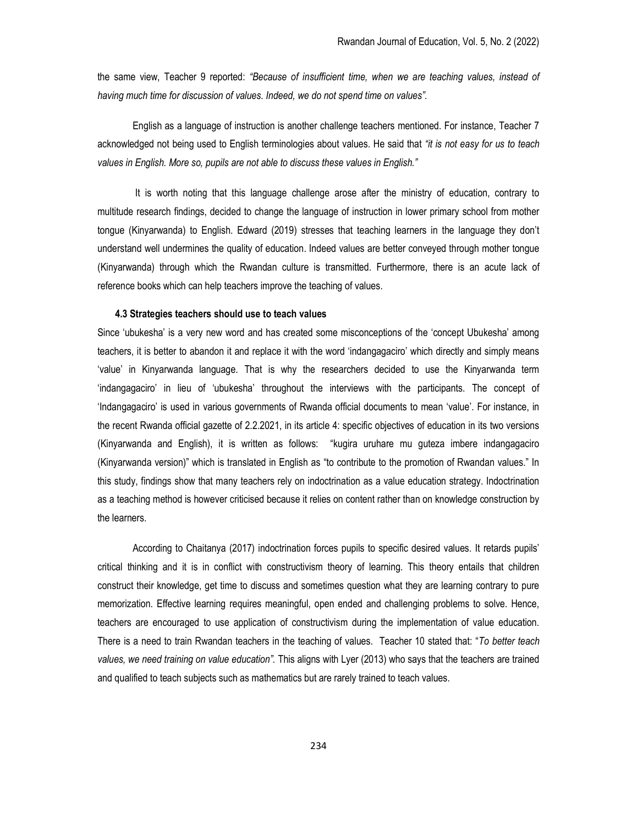the same view, Teacher 9 reported: "Because of insufficient time, when we are teaching values, instead of having much time for discussion of values. Indeed, we do not spend time on values".

English as a language of instruction is another challenge teachers mentioned. For instance, Teacher 7 acknowledged not being used to English terminologies about values. He said that "it is not easy for us to teach values in English. More so, pupils are not able to discuss these values in English."

It is worth noting that this language challenge arose after the ministry of education, contrary to multitude research findings, decided to change the language of instruction in lower primary school from mother tongue (Kinyarwanda) to English. Edward (2019) stresses that teaching learners in the language they don't understand well undermines the quality of education. Indeed values are better conveyed through mother tongue (Kinyarwanda) through which the Rwandan culture is transmitted. Furthermore, there is an acute lack of reference books which can help teachers improve the teaching of values.

### 4.3 Strategies teachers should use to teach values

Since 'ubukesha' is a very new word and has created some misconceptions of the 'concept Ubukesha' among teachers, it is better to abandon it and replace it with the word 'indangagaciro' which directly and simply means 'value' in Kinyarwanda language. That is why the researchers decided to use the Kinyarwanda term 'indangagaciro' in lieu of 'ubukesha' throughout the interviews with the participants. The concept of 'Indangagaciro' is used in various governments of Rwanda official documents to mean 'value'. For instance, in the recent Rwanda official gazette of 2.2.2021, in its article 4: specific objectives of education in its two versions (Kinyarwanda and English), it is written as follows: "kugira uruhare mu guteza imbere indangagaciro (Kinyarwanda version)" which is translated in English as "to contribute to the promotion of Rwandan values." In this study, findings show that many teachers rely on indoctrination as a value education strategy. Indoctrination as a teaching method is however criticised because it relies on content rather than on knowledge construction by the learners.

According to Chaitanya (2017) indoctrination forces pupils to specific desired values. It retards pupils' critical thinking and it is in conflict with constructivism theory of learning. This theory entails that children construct their knowledge, get time to discuss and sometimes question what they are learning contrary to pure memorization. Effective learning requires meaningful, open ended and challenging problems to solve. Hence, teachers are encouraged to use application of constructivism during the implementation of value education. There is a need to train Rwandan teachers in the teaching of values. Teacher 10 stated that: "To better teach values, we need training on value education". This aligns with Lyer (2013) who says that the teachers are trained and qualified to teach subjects such as mathematics but are rarely trained to teach values.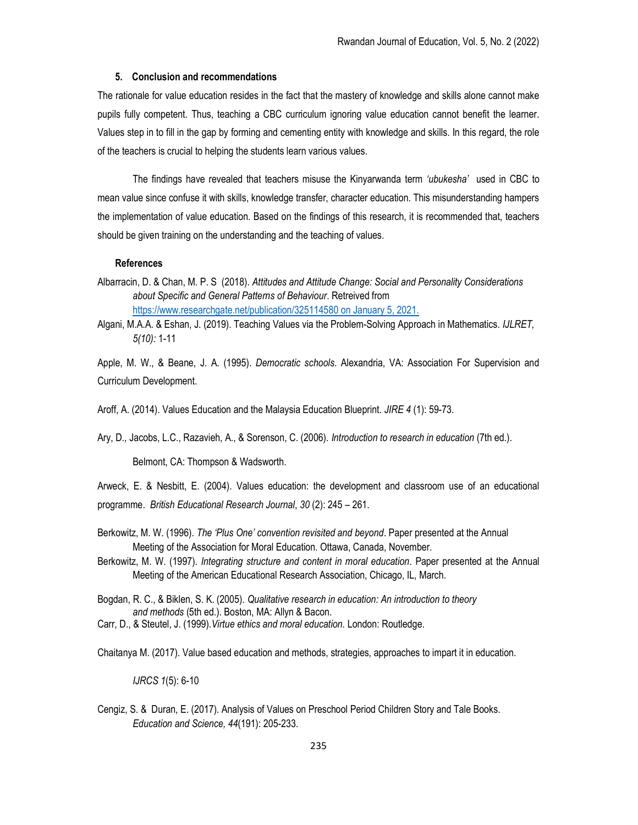# 5. Conclusion and recommendations

The rationale for value education resides in the fact that the mastery of knowledge and skills alone cannot make pupils fully competent. Thus, teaching a CBC curriculum ignoring value education cannot benefit the learner. Values step in to fill in the gap by forming and cementing entity with knowledge and skills. In this regard, the role of the teachers is crucial to helping the students learn various values.

The findings have revealed that teachers misuse the Kinyarwanda term 'ubukesha' used in CBC to mean value since confuse it with skills, knowledge transfer, character education. This misunderstanding hampers the implementation of value education. Based on the findings of this research, it is recommended that, teachers should be given training on the understanding and the teaching of values.

### References

Albarracin, D. & Chan, M. P. S (2018). Attitudes and Attitude Change: Social and Personality Considerations about Specific and General Patterns of Behaviour. Retreived from https://www.researchgate.net/publication/325114580 on January 5, 2021.

Algani, M.A.A. & Eshan, J. (2019). Teaching Values via the Problem-Solving Approach in Mathematics. IJLRET, 5(10): 1-11

Apple, M. W., & Beane, J. A. (1995). Democratic schools. Alexandria, VA: Association For Supervision and Curriculum Development.

Aroff, A. (2014). Values Education and the Malaysia Education Blueprint. JIRE 4 (1): 59-73.

Ary, D., Jacobs, L.C., Razavieh, A., & Sorenson, C. (2006). Introduction to research in education (7th ed.).

Belmont, CA: Thompson & Wadsworth.

Arweck, E. & Nesbitt, E. (2004). Values education: the development and classroom use of an educational programme. British Educational Research Journal, 30 (2): 245 – 261.

- Berkowitz, M. W. (1996). The 'Plus One' convention revisited and beyond. Paper presented at the Annual Meeting of the Association for Moral Education. Ottawa, Canada, November.
- Berkowitz, M. W. (1997). Integrating structure and content in moral education. Paper presented at the Annual Meeting of the American Educational Research Association, Chicago, IL, March.

Bogdan, R. C., & Biklen, S. K. (2005). Qualitative research in education: An introduction to theory and methods (5th ed.). Boston, MA: Allyn & Bacon.

Carr, D., & Steutel, J. (1999).Virtue ethics and moral education. London: Routledge.

Chaitanya M. (2017). Value based education and methods, strategies, approaches to impart it in education.

IJRCS 1(5): 6-10

Cengiz, S. & Duran, E. (2017). Analysis of Values on Preschool Period Children Story and Tale Books. Education and Science, 44(191): 205-233.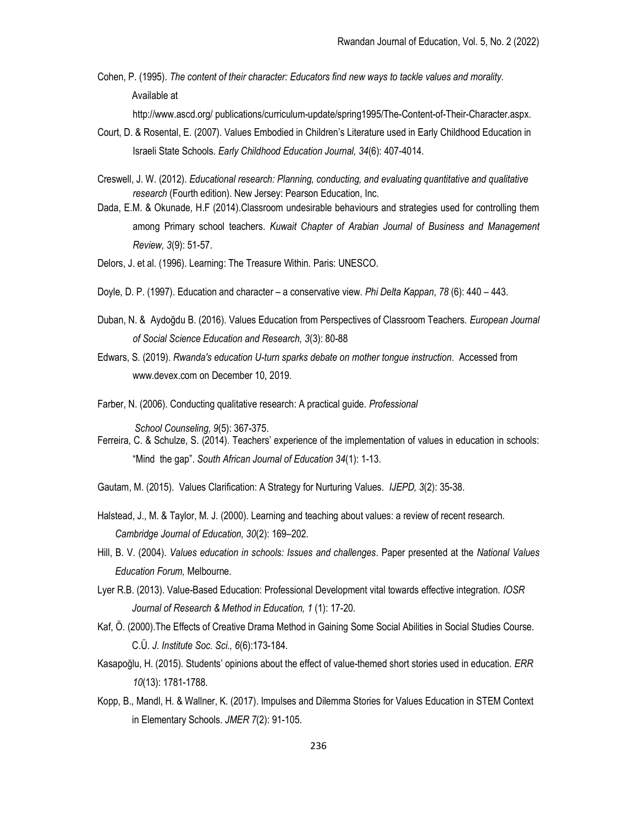Cohen, P. (1995). The content of their character: Educators find new ways to tackle values and morality. Available at

http://www.ascd.org/ publications/curriculum-update/spring1995/The-Content-of-Their-Character.aspx.

- Court, D. & Rosental, E. (2007). Values Embodied in Children's Literature used in Early Childhood Education in Israeli State Schools. Early Childhood Education Journal, 34(6): 407-4014.
- Creswell, J. W. (2012). Educational research: Planning, conducting, and evaluating quantitative and qualitative research (Fourth edition). New Jersey: Pearson Education, Inc.
- Dada, E.M. & Okunade, H.F (2014).Classroom undesirable behaviours and strategies used for controlling them among Primary school teachers. Kuwait Chapter of Arabian Journal of Business and Management Review, 3(9): 51-57.
- Delors, J. et al. (1996). Learning: The Treasure Within. Paris: UNESCO.
- Doyle, D. P. (1997). Education and character a conservative view. Phi Delta Kappan, 78 (6): 440 443.
- Duban, N. & Aydoğdu B. (2016). Values Education from Perspectives of Classroom Teachers. European Journal of Social Science Education and Research, 3(3): 80-88
- Edwars, S. (2019). Rwanda's education U-turn sparks debate on mother tongue instruction. Accessed from www.devex.com on December 10, 2019.
- Farber, N. (2006). Conducting qualitative research: A practical guide. Professional

School Counseling, 9(5): 367-375.

- Ferreira, C. & Schulze, S. (2014). Teachers' experience of the implementation of values in education in schools: "Mind the gap". South African Journal of Education 34(1): 1-13.
- Gautam, M. (2015). Values Clarification: A Strategy for Nurturing Values. IJEPD, 3(2): 35-38.
- Halstead, J., M. & Taylor, M. J. (2000). Learning and teaching about values: a review of recent research. Cambridge Journal of Education, 30(2): 169–202.
- Hill, B. V. (2004). Values education in schools: Issues and challenges. Paper presented at the National Values Education Forum, Melbourne.
- Lyer R.B. (2013). Value-Based Education: Professional Development vital towards effective integration. IOSR Journal of Research & Method in Education, 1 (1): 17-20.
- Kaf, Ö. (2000).The Effects of Creative Drama Method in Gaining Some Social Abilities in Social Studies Course. C.Ü. J. Institute Soc. Sci., 6(6):173-184.
- Kasapoğlu, H. (2015). Students' opinions about the effect of value-themed short stories used in education. ERR 10(13): 1781-1788.
- Kopp, B., Mandl, H. & Wallner, K. (2017). Impulses and Dilemma Stories for Values Education in STEM Context in Elementary Schools. JMER 7(2): 91-105.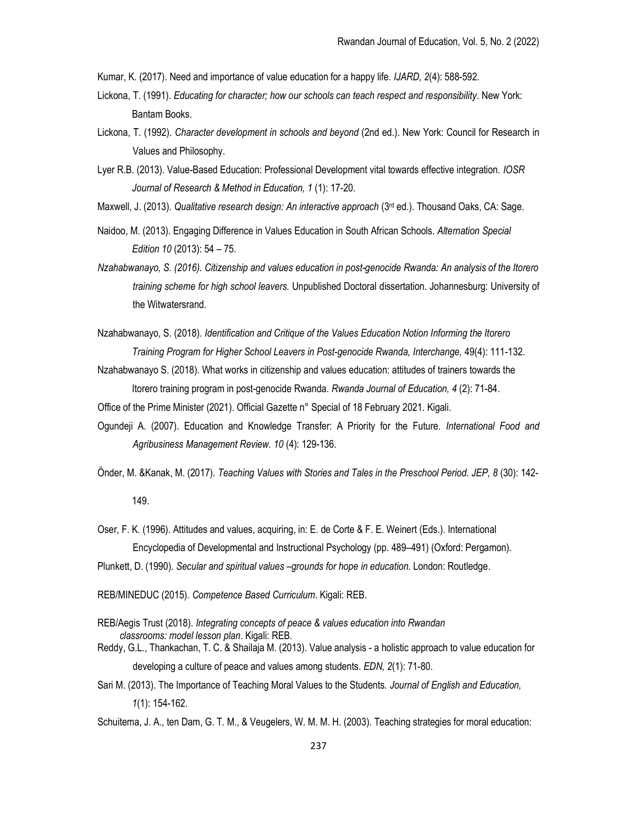Kumar, K. (2017). Need and importance of value education for a happy life. IJARD, 2(4): 588-592.

- Lickona, T. (1991). Educating for character; how our schools can teach respect and responsibility. New York: Bantam Books.
- Lickona, T. (1992). Character development in schools and beyond (2nd ed.). New York: Council for Research in Values and Philosophy.
- Lyer R.B. (2013). Value-Based Education: Professional Development vital towards effective integration. IOSR Journal of Research & Method in Education, 1 (1): 17-20.
- Maxwell, J. (2013). Qualitative research design: An interactive approach (3<sup>rd</sup> ed.). Thousand Oaks, CA: Sage.
- Naidoo, M. (2013). Engaging Difference in Values Education in South African Schools. Alternation Special Edition 10 (2013): 54 – 75.
- Nzahabwanayo, S. (2016). Citizenship and values education in post-genocide Rwanda: An analysis of the Itorero training scheme for high school leavers. Unpublished Doctoral dissertation. Johannesburg: University of the Witwatersrand.
- Nzahabwanayo, S. (2018). Identification and Critique of the Values Education Notion Informing the Itorero Training Program for Higher School Leavers in Post-genocide Rwanda, Interchange, 49(4): 111-132.
- Nzahabwanayo S. (2018). What works in citizenship and values education: attitudes of trainers towards the Itorero training program in post-genocide Rwanda. Rwanda Journal of Education, 4 (2): 71-84.

Office of the Prime Minister (2021). Official Gazette n° Special of 18 February 2021. Kigali.

- Ogundeji A. (2007). Education and Knowledge Transfer: A Priority for the Future. International Food and Agribusiness Management Review. 10 (4): 129-136.
- Önder, M. &Kanak, M. (2017). Teaching Values with Stories and Tales in the Preschool Period. JEP, 8 (30): 142-

149.

- Oser, F. K. (1996). Attitudes and values, acquiring, in: E. de Corte & F. E. Weinert (Eds.). International Encyclopedia of Developmental and Instructional Psychology (pp. 489–491) (Oxford: Pergamon).
- Plunkett, D. (1990). Secular and spiritual values –grounds for hope in education. London: Routledge.

REB/MINEDUC (2015). Competence Based Curriculum. Kigali: REB.

- REB/Aegis Trust (2018). Integrating concepts of peace & values education into Rwandan classrooms: model lesson plan. Kigali: REB.
- Reddy, G.L., Thankachan, T. C. & Shailaja M. (2013). Value analysis a holistic approach to value education for developing a culture of peace and values among students. EDN, 2(1): 71-80.
- Sari M. (2013). The Importance of Teaching Moral Values to the Students. Journal of English and Education, 1(1): 154-162.
- Schuitema, J. A., ten Dam, G. T. M., & Veugelers, W. M. M. H. (2003). Teaching strategies for moral education: